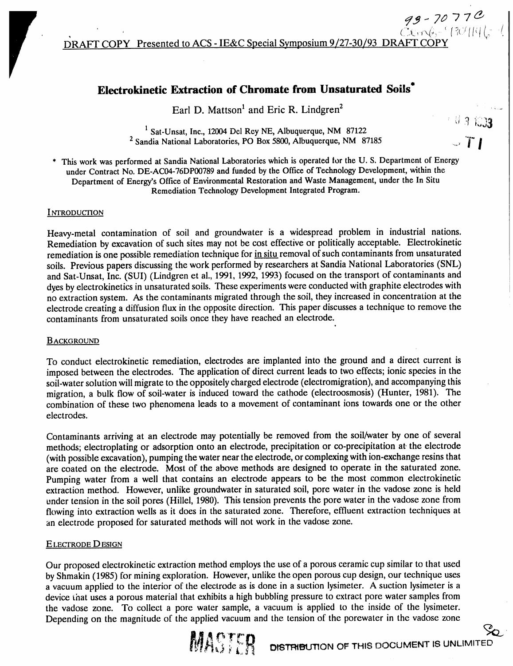## **Electrokinetic Extraction of Chromate from Unsaturated Soils**

Earl D. Mattson<sup>1</sup> and Eric R. Lindgren<sup>2</sup>

<sup>1</sup> Sat-Unsat, Inc., 12004 Del Rey NE, Albuquerque, NM 87122 <sup>2</sup> Sandia National Laboratories, PO Box 5800, Albuquerque, NM 87185

This work was performed at Sandia National Laboratories which is operated for the U.S. Department of Energy under Contract No. DE-AC04-76DP00789 and funded by the Office of Technology Development, within the Department of Energy's Office of Environmental Restoration and Waste Management, under the In Situ Remediation Technology Development Integrated Program.

#### **INTRODUCTION**

Heavy-metal contamination of soil and groundwater is a widespread problem in industrial nations. Remediation by excavation of such sites may not be cost effective or politically acceptable. Electrokinetic remediation is one possible remediation technique for in situ removal of such contaminants from unsaturated soils. Previous papers discussing the work performed by researchers at Sandia National Laboratories (SNL) and Sat-Unsat, Inc. (SUI) (Lindgren et al., 1991, 1992, 1993) focused on the transport of contaminants and dyes by electrokinetics in unsaturated soils. These experiments were conducted with graphite electrodes with no extraction system. As the contaminants migrated through the soil, they increased in concentration at the electrode creating a diffusion flux in the opposite direction. This paper discusses a technique to remove the contaminants from unsaturated soils once they have reached an electrode.

#### **BACKGROUND**

To conduct electrokinetic remediation, electrodes are implanted into the ground and a direct current is imposed between the electrodes. The application of direct current leads to two effects; ionic species in the soil-water solution will migrate to the oppositely charged electrode (electromigration), and accompanying this migration, a bulk flow of soil-water is induced toward the cathode (electroosmosis) (Hunter, 1981). The combination of these two phenomena leads to a movement of contaminant ions towards one or the other electrodes.

Contaminants arriving at an electrode may potentially be removed from the soil/water by one of several methods; electroplating or adsorption onto an electrode, precipitation or co-precipitation at the electrode (with possible excavation), pumping the water near the electrode, or complexing with ion-exchange resins that are coated on the electrode. Most of the above methods are designed to operate in the saturated zone. Pumping water from a well that contains an electrode appears to be the most common electrokinetic extraction method. However, unlike groundwater in saturated soil, pore water in the vadose zone is held under tension in the soil pores (Hillel, 1980). This tension prevents the pore water in the vadose zone from flowing into extraction wells as it does in the saturated zone. Therefore, effluent extraction techniques at an electrode proposed for saturated methods will not work in the vadose zone.

#### **ELECTRODE DESIGN**

Our proposed electrokinetic extraction method employs the use of a porous ceramic cup similar to that used by Shmakin (1985) for mining exploration. However, unlike the open porous cup design, our technique uses a vacuum applied to the interior of the electrode as is done in a suction lysimeter. A suction lysimeter is a device that uses a porous material that exhibits a high bubbling pressure to extract pore water samples from the vadose zone. To collect a pore water sample, a vacuum is applied to the inside of the lysimeter. Depending on the magnitude of the applied vacuum and the tension of the porewater in the vadose zone



 $T1$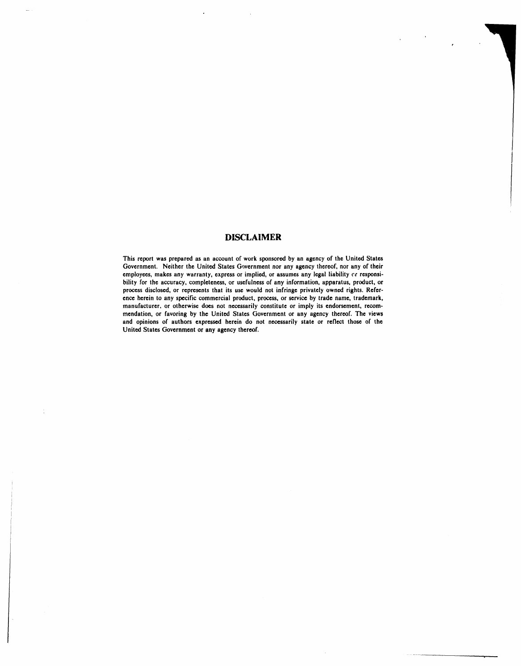#### **D**I**SCLA**I**MER**

This report was prepared as an account of work sponsored by an agency of the United States Government. Neither the United States Government nor any agency thereof, nor any of their employees, makes any warranty, express or implied, or assumes any legal liability or responsibility for the accuracy, completeness, or usefulness of any information, apparatus, product, or process disclosed, or represents that its use would not infringe privately owned rights. Reference herein to any specific commercial product, process, or service by trade name, trademark, manufacturer, or otherwise does not necessarily constitute or imply its endorsement, recommendation, or favoring by the United States Government or any agency thereof. The views and opinions of authors expressed herein do not necessarily state or reflect those of the **Unit**ed **Stat**e**s Gov**e**rnm**e**nt or any a**gen**cy th**e**r**e**of.**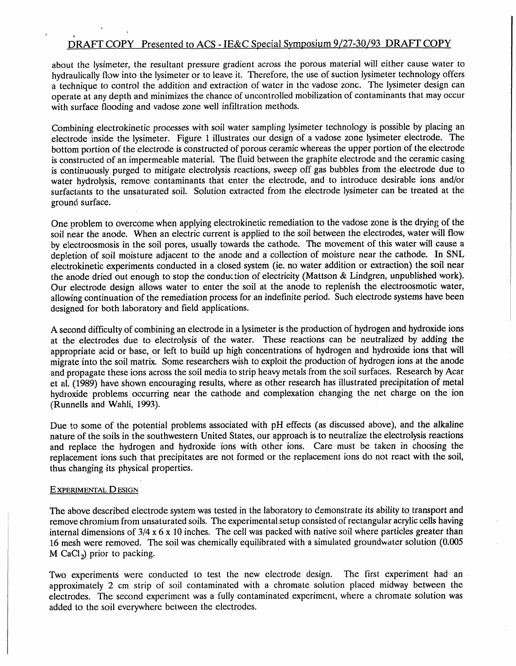#### '1 DRAFT COPY Presented to ACS - IE&C Spec.ial Symposium 9*/27-30/93 DRAFT COPY*

about the lysimeter, the resultant pressure gradient across the porous material will either cause water to hydraulically flow into the lysimeter or to leave it. Therefore, the use of suction lysimeter technology offers a technique to control the addition and extraction of water in the vadose zone. The lysimeter design can operate at any depth and minimizes the chance of uncontrolled mobilization of contaminants that may occur with surface flooding and vadose zone well infiltration methods.

Combining electrokinetic processes with soil water sampling lysimeter technology is possible by placing an electrode inside the lysimeter. Figure 1 illustrate**s** our design of a vadose zone lysimeter electrode. The bottom portion of the electrode is constructed of porous ceramic whereas the upper portion of the electrode is constructed of an impermeable material. The fluid between the graphite electrode and the ceramic casing is continuously purged to mitigate electrolysis reactions, sweep off gas bubbles from the electrode due to water hydrolysis, remove contaminants that enter the electrode, and to introduce desirable ions and*/*or surfactants to the unsaturated soil. Solution extracted from the electrode lysimeter can be treated at the ground surface.

One problem to overcome when applying electrokinetic remediation to the vadose zone is the drying of the soil near the anode. When an electric current is applied to the soil between the electrodes, water will flow by electroosmosis in the soil pores, usually towards the cathode. The movement of this water will cause a depletion of soil moisture adjacent to the anode and a collection of moisture near the cathode. In SNL electrokinetic experiments conducted in a closed system (ie. no water addition or extraction) the soil near the anode dried out enough to stop the conduction of electricity (Mattson & Lindgren, unpublished work). Our electrode design allows water to enter the soil at the anode to replenish the electroosmotic water, allowing continuation of the remediation process for an indefinite period. Such electrode systems have been designed for both laboratory and field applications.

A second difficulty of combining an electrode in a lysimeter isthe production of hydrogen and hydroxide ions at the electrodes due to electrolysis of the water. These reactions can be neutralized by adding the appropriate acid or base, or left to build up high concentrations of hydrogen and hydroxide ions that will migrate into the soil matrix. Some researchers wish to exploit the production of hydrogen ions at the anode and propagate these ions across the soil media to strip heavy metals from the soil surfaces. Research by Acar et al. (1989) have shown encouraging results, where as other research has illustrated precipitation of metal hydroxide problems occurring near the cathode and complexation changing the net charge on the ion (Runnells and Wahli, 1993).

Due to some of the potential problems associated with pH effects (as discussed above), and the alkaline nature of the soils in the southwestern United States, our approach is to neutralize the electrolysis reactions and replace the hydrogen and hydroxide ions with other ions. Care must be taken in choosing the replacement ions such that precipitates are not formed or the replacement ions do not react with the soil, thus changing its physical properties.

#### EXPERIMENTAL DESIGN

f

The above described electrode system was tested in the laboratory to demonstrate its ability to transport and remove chromium from unsaturated soils. The experimental setup consisted of rectangular acrylic cells having internal dimensions of 3*/*4 x 6 x 10 inches. The cell was packed with native soil where particles greater than 16 mesh were removed. The soil was chemically equilibrated with a simulated groundwater solution (0.005 M CaCI*z*) prior to packing.

Two experiments were conducted to test the new electrode design. The first experiment had an approximately 2 cm strip of soil contaminated with a chromate solution placed midway between the electrodes. The second experiment was a fully contaminated experiment, where a chromate solution was added to the soil everywhere between the electrodes.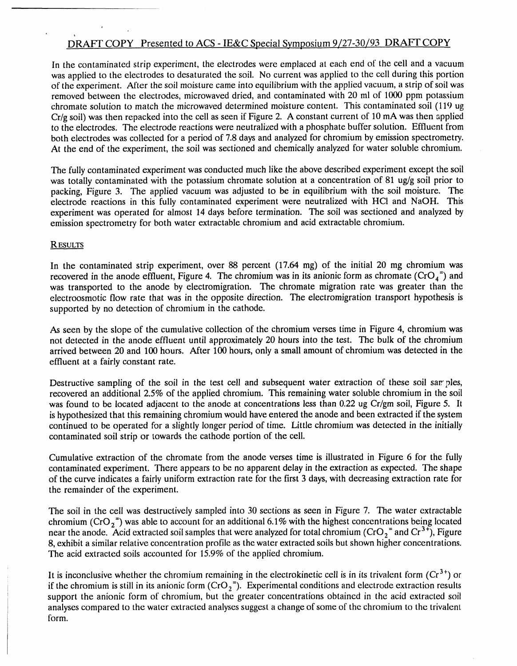#### ,i DRA**F**T COPY Presented to ACS - IE&C Special Symposium 9*/27-30/93 DRAFT COPY*

In the contaminated strip experiment, the electrodes were emplaced at each end of the cell and a vacuum was applied to the electrodes to desaturated the soil. No current was applied to the cell during this portion of the experiment. After the soil moisture came into equilibrium with the applied vacuum, a strip of soil was removed between the electrodes, microwaved dried, and contaminated with 20 ml of 1000 ppm potassium chromate solution to match the microwaved determined moisture content. This contaminated soil (119 ug Cr*/*g soil) was then repacked into the cell as seen if Figure 2. A constant current of 10 mA was then applied to the electrodes*.* The electrode reactions were neutralized with a phosphate buffer solution. Effluent from both electrodes was collected for a period of 7.8 days and analyzed for chromium by emission spectrometry. At the end of the experiment, the soil was sectioned and chemically analyzed for water soluble chromium.

The fully contaminated experiment was conducted much like the above described experiment except the soil was totally contaminated with the potassium chromate solution at a concentration of 81 ug*/*g soil prior to packing, Figure 3. The applied vacuum was adjusted to be in equilibrium with the soil moisture. The electrode reactions in this fully contaminated experiment were neutralized with HCI and NaOH. This experiment was operated for almost 14 days before termination. The soil was sectioned and analyzed by emission spectrometry for both water extractable chromium and acid extractable chromium.

#### R\_t.JL*'rs*

*¢*

In the contaminated strip experiment, over 88 percent (17.64 mg) of the initial 20 mg chromium was recovered in the anode effluent, Figure 4. The chromium was in its anionic form as chromate ( $CrO<sub>4</sub>$ <sup>=</sup>) and was transported to the anode by electromigration. The chromate migration rate was greater than the electroosmotic flow rate that was in the opposite direction. The electromigration transport hypothesis is supported by no detection of chromium in the cathode.

As seen by the slope of the cumulative collection of the chromium verses time in Figure 4, chromium was not detected in the anode effluent until approximately 20 hours into the test. The bulk of the chromium arrived between 20 and 100 hours. After 10*0* hours, only a small amount of chromium was detected in the effluent at a fairly constant rate.

Destructive sampling of the soil in the test cell and subsequent water extraction of these soil samples, recovered an additional 2.5% of the applied chromium. This remaining water soluble chromium in the soil was found to be located adjacent to the anode at concentrations less than 0.22 ug Cr*/*gm *s*oil, Figure 5. It is hypothesized that this remaining chromium would have entered the anode and been extracted if the system continued to be operated for a slightly longer period of time. Little chromium was detected in the initially contaminated soil strip or towards the cathode portion of the cell.

Cumulative extraction of the chromate from the anode verses time is illustrated in Figure 6 for the fully contaminated experiment. There appears to be no apparent delay in the extraction as expected. The shape of the curve indicates a fairly uniform extraction rate for the first 3 days, with decreasing extraction rate for the remainder of the experiment.

The soil in the cell was destructively sampled into 30 sections as seen in Figure 7. The water extractable chromium (CrO<sub>2</sub><sup>=</sup>) was able to account for an additional 6.1% with the highest concentrations being located near the anode. Acid extracted soil samples that were analyzed for total chromium (CrO<sub>2</sub><sup>=</sup> and Cr<sup>3+</sup>), Figure 8, exhibit a similar relative concentration profile as the water extracted soils but shown higher concentrations. The acid extracted soils accounted for 15.9% of the applied chromium.

It is inconclusive whether the chromium remaining in the electrokinetic cell is in its trivalent form (Cr<sup>3+</sup>) or if the chromium is still in its anionic form  $(CrO_2^*)$ . Experimental conditions and electrode extraction results support the anionic form of chromium, but the greater concentrations obtained in the acid extracted soil analyses compared to the water extracted analyses suggest a change of some of the chromium to the trivalent form.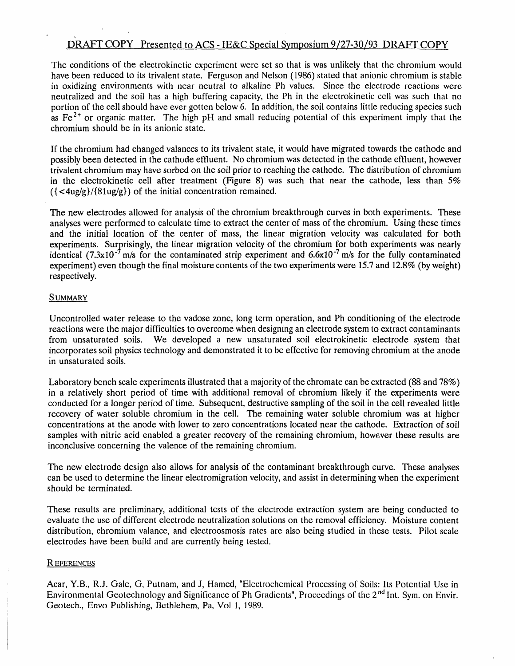## DRAFT COPY Presented to ACS - IE&C Special Symposium 9*/27-3***0***/93 DRAFT COPY*

The conditions of the electrokinetic experiment were set so that is was unlikely that the chromium would have been reduced to its trivalent state. Ferguson and Nelson (1986) stated that anionic chromium is stable in oxidizing environmen*t*s with near neutral to alkaline Ph values. Since the electrode reactions were neutralized and the soil has a high buffering capacity, the Ph in the electrokinetic cell was such that no portion of the cell should have ever gotten below 6. In addition, the soil contains **l**ittle reducing species such as  $Fe<sup>2+</sup>$  or organic matter. The high pH and small reducing potential of this experiment imply that the chromium should be in its anionic state.

If the chromium had changed valances to its trivalent state, it would have migrated towards the cathode and possibly been detected in the cathode effluent. No chromium was detected in the cathode effluent, however trivalent chromium may have sorbed on the soil prior to reaching the cathode. The distribution of chromium in the electrokinetic cell after treatment (Figure 8) was such that near the cathode, less than 5% ({ <4ug*/*g}*/*{81ug*/*g}) of the **i**nitial concentration rema**i**ned.

The new electrodes allowed for analysis of the chromium breakthrough curves in both experiments. These analyses were performed to ca**l**cu**l**ate time to extract the center of mass of the chromium. Using these times and the initial location of the center of mass, the linear migration velocity was calculated for both experiments. Surprisingly, the linear migration velocity of the chromium for both experiments was nearly experiments. Surprisingly, the linear migration velocity of the chrom**i**um for both experiments was nearly identical (7.3xl0"m*/*s for the contaminated strip experiment and 6.6x10 7 m*/*s for the fully *c*ontaminated experiment) even though the final moisture contents of the two experiments were 15.7 and 12.8% (by weight) respectively.

#### **SUMMARY**

i

Uncontrolled water release to the vadose zone*,* long term operation*,* and Ph conditioning of the electrode reactions were the major difficulties to overcome when designing an electrode system to extract contaminants from unsaturated soils. We developed a new unsaturated soil electrodinetic electrode system that We developed a new unsaturated soil electrokinetic electrode system that incorporates soil physics technology and demonstrated it to be effective for removing chromium at the anode in unsaturated soils.

Laboratory bench scale experiments illustrated that a majority of the chromate can be extracted (88 and 78%) in a relatively short period of time with additional removal of chromium likely if the experiments were condu*ct*ed for a longer period of *t*ime. Subsequent*,* destructive sampling of the soil in the cell revealed little recovery of water soluble chromium in the cell. The remaining water soluble chromium was at higher concentrations at the anode with lower to zero concentrations located near the cathode. Extraction of soil samples with nitric acid enabled a greater recovery of the remaining chromium, however these results are inconclusive concerning the valence of the remaining chromium.

The new electrode design also allows for analysis of the contaminant breakthrough curve. These analyses can be used to determine the linear electromigration velocity*,* and assist in determining when the experiment should be terminated.

These results are preliminary, additional tests of the electrode extraction system are being conducted to evalua*t*e the use of different electrode neutralization solutions on the removal efficiency. Moisture content distribution, chromium valance, and electroosmosis rates are also being studied in these tests. Pilot scale electrodes have been build and are currently being tested.

#### RE*VERENCES*

Acar, Y.B., R.J. Gale, G, Putnam, and J, Hamed, "Electrochemical Processing of Soils: Its Potential Use in Environmental Geotechnology and Significance of Ph Gradients", Proceedings of the 2<sup>nd</sup> Int. Sym. on Envir. Geote*c*h., **E**nvo Publishing, Bethlehem, Pa, Vol 1, 198*9*.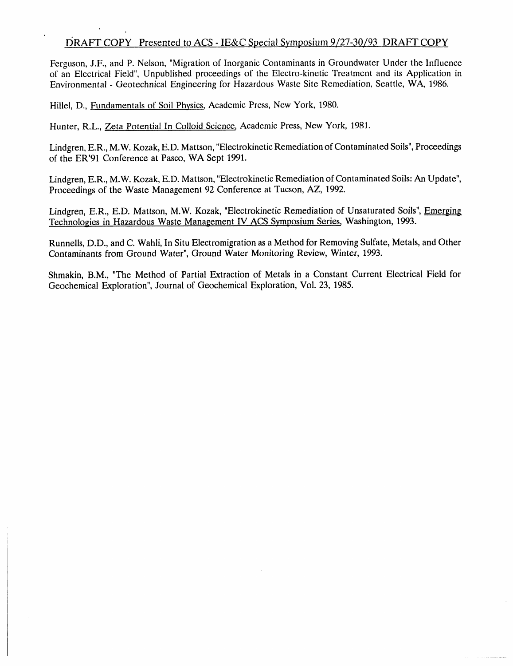### 19RAFT COPY Presented t**o ACS - IE&C Special Symposium 9***/27-3***0***/93 DRAFT COPY*

Ferguson, J.F., and P. Nelson, "Migration of Inorganic Contaminants in Groundwater Under the Influence of an Electrical Field", Unpublished proceedings of the Electro-kinetic Treatment and its *A*pplication in Environmental - Geotechnical Engineering for Hazardous Waste Site Remediation, Seattle, WA, 1986.

Hillel, D., Fundamentals of Soil Physics, *A*cademic Press, New York, 1980.

Hunter, R.L., Zeta Potential In Colloid Science, *A*cademic Press, New York, 1981.

Lindgren, E.R., M.W. Kozak, E.D. Mattson, "Electrokinetic Remediation of Contaminated Soils", Proceedings of the ER'91 Conference at Pasco, W*A* Sept 1991.

Lindgren, E.R., M.W. Kozak, E.D. Mattson, "Electrokinetic Remediation of Contaminated Soils: *A*n Update", Proceedings of the Waste Management 92 Conference at Tucson, AZ, 1992.

Lindgren, E.R., E.D. Mattson, M.W. Kozak, "Electrokinetic Remediation of Unsaturated Soils", Emerging Technologies in Hazardous Waste Management IV ACS Symposium Series, Washington, 1993.

Runnells, D.D., and C. Wahli, In Situ Electromigration as a Method for Removing Sulfate, Metals, and Other Contaminants from Ground Water", Ground Water Monitoring Review, Winter, 1993.

Shmakin, B.M., "The Method of Partial Extraction of Metals in a Constant Current Electrical Field for Geochemical Exploration", Journal of Geochemical Exploration, Vol. 23, 1985.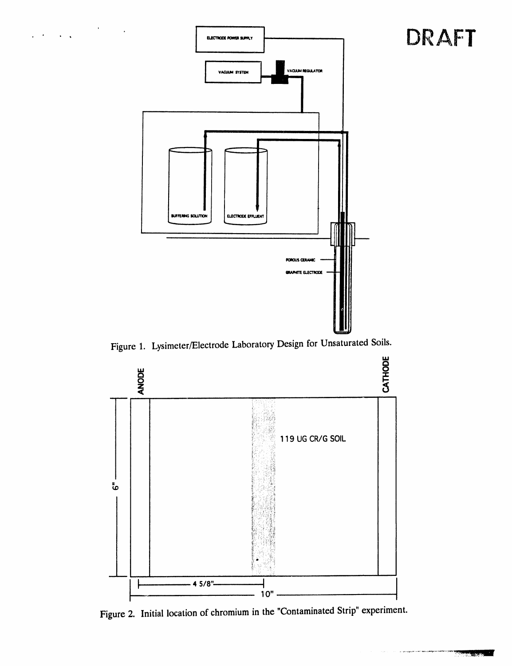

 $\mathcal{L}^{\text{max}}$ 

 $\ddot{\phantom{a}}$ 

Figure 1. Lysimeter/Electrode Laboratory Design for Unsaturated Soils.



Figure 2. Initial location of chromium in the "Contaminated Strip" experiment.

DRAFT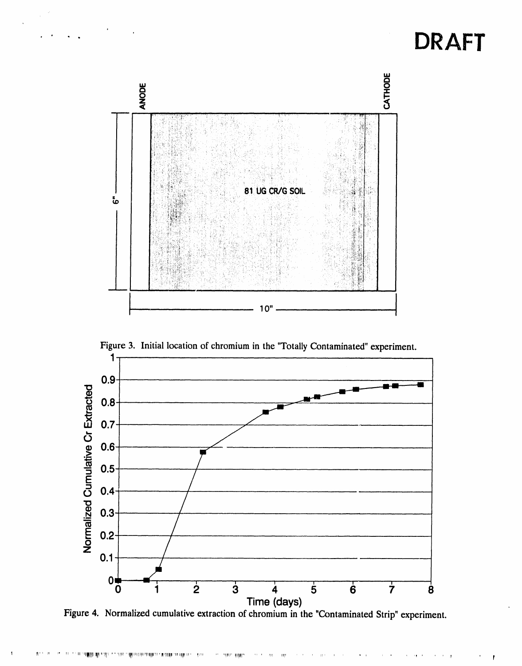# **DRAFT**



Figure 3. Initial location of chromium in the "Totally Contaminated" experiment.

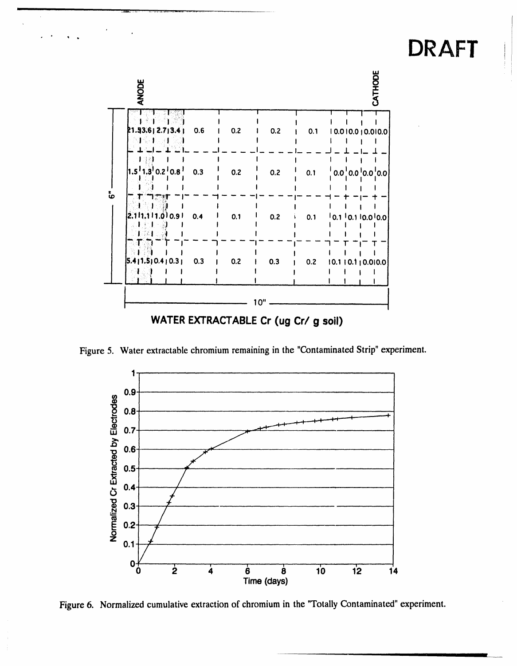#### CATHODE **ANODE** ៉  $\mathbf{I}$  $\mathbf{I}$  $\mathbf{I}$  $2.713.4$  $0.6$  $0.2$  $0.2$  $0.1$  $10.010.010.010.0$ .93  $\overline{\phantom{a}}$  $0.8$  $0.3$  $0.2$  $0.2$  $0.2$  $0.1$  $0.0^{1}0.0$  $0.0$ '0.0 ဖံ  $0.4$  $0.1$ ا 0.9 (ق  $0.2$ 11  $0.1$ 0.1 ا .1  $10.110.010.0$ Ï  $0.3$  $0.2$  $0.3$  $0.2$ 0  $4 | 0.3 |$  $10.110.110.010.0$  $\mathbf{I}$ ł  $10"$ WATER EXTRACTABLE Cr (ug Cr/ g soil)

DRAFT

Figure 5. Water extractable chromium remaining in the "Contaminated Strip" experiment.



Figure 6. Normalized cumulative extraction of chromium in the "Totally Contaminated" experiment.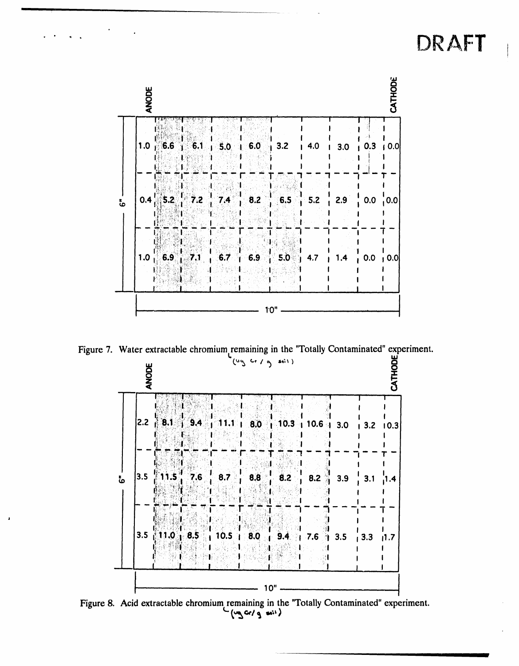# DRAFT



Figure 7. Water extractable chromium remaining in the "Totally Contaminated" experiment.

CATHODE **ANODE**  $10.3 + 10.6 + 3.0$ 2.2  $3.1$  $9.4$  $8.0<sub>1</sub>$ 11.1  $\mathbf{I}$  $3.2$  10.3  $\mathbf{I}$ 3.5  $11.5$  $8.2$ 7.6  $8.7$  $8.8$ ဖံ  $8.2$  $3.9$  $3.1$ 4. ا  $3.5$ 10.5 11.0 8.5  $8.0$  $9.4$  $7.6$  $3.5$  $3.3$  $11.7$ à  $10"$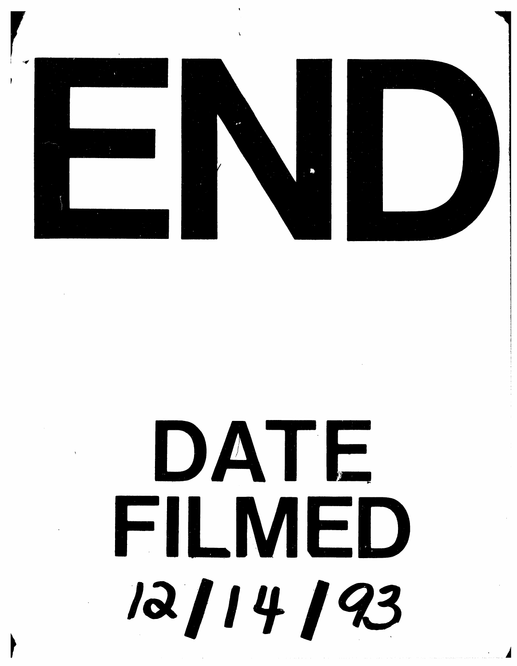

# DATE FILMED 12/14/93